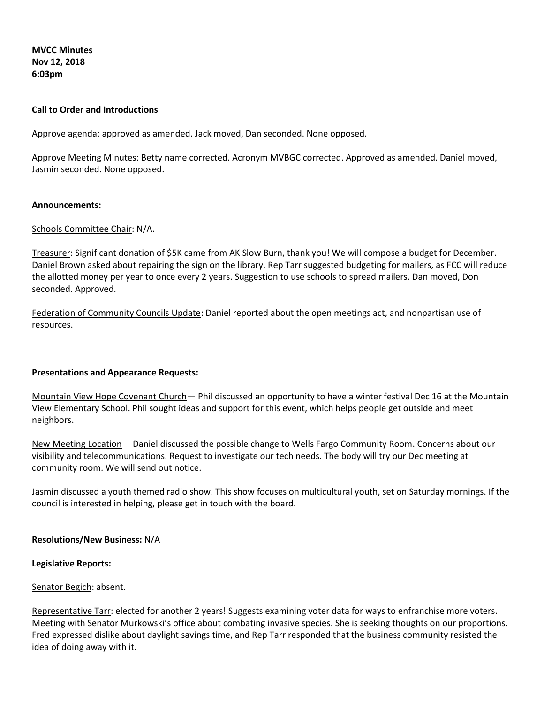**MVCC Minutes Nov 12, 2018 6:03pm** 

### **Call to Order and Introductions**

Approve agenda: approved as amended. Jack moved, Dan seconded. None opposed.

Approve Meeting Minutes: Betty name corrected. Acronym MVBGC corrected. Approved as amended. Daniel moved, Jasmin seconded. None opposed.

#### **Announcements:**

#### Schools Committee Chair: N/A.

Treasurer: Significant donation of \$5K came from AK Slow Burn, thank you! We will compose a budget for December. Daniel Brown asked about repairing the sign on the library. Rep Tarr suggested budgeting for mailers, as FCC will reduce the allotted money per year to once every 2 years. Suggestion to use schools to spread mailers. Dan moved, Don seconded. Approved.

Federation of Community Councils Update: Daniel reported about the open meetings act, and nonpartisan use of resources.

#### **Presentations and Appearance Requests:**

Mountain View Hope Covenant Church— Phil discussed an opportunity to have a winter festival Dec 16 at the Mountain View Elementary School. Phil sought ideas and support for this event, which helps people get outside and meet neighbors.

New Meeting Location— Daniel discussed the possible change to Wells Fargo Community Room. Concerns about our visibility and telecommunications. Request to investigate our tech needs. The body will try our Dec meeting at community room. We will send out notice.

Jasmin discussed a youth themed radio show. This show focuses on multicultural youth, set on Saturday mornings. If the council is interested in helping, please get in touch with the board.

#### **Resolutions/New Business:** N/A

#### **Legislative Reports:**

#### Senator Begich: absent.

Representative Tarr: elected for another 2 years! Suggests examining voter data for ways to enfranchise more voters. Meeting with Senator Murkowski's office about combating invasive species. She is seeking thoughts on our proportions. Fred expressed dislike about daylight savings time, and Rep Tarr responded that the business community resisted the idea of doing away with it.